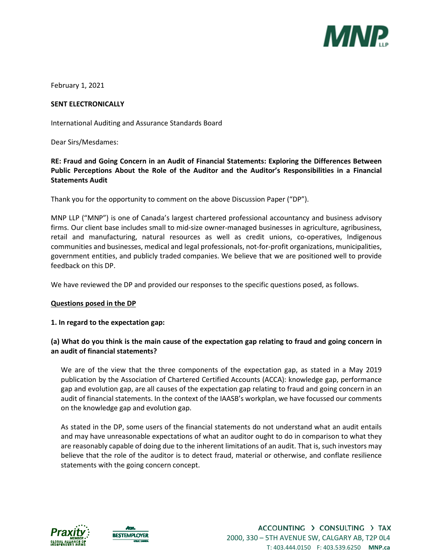

February 1, 2021

#### **SENT ELECTRONICALLY**

International Auditing and Assurance Standards Board

Dear Sirs/Mesdames:

## **RE: Fraud and Going Concern in an Audit of Financial Statements: Exploring the Differences Between Public Perceptions About the Role of the Auditor and the Auditor's Responsibilities in a Financial Statements Audit**

Thank you for the opportunity to comment on the above Discussion Paper ("DP").

MNP LLP ("MNP") is one of Canada's largest chartered professional accountancy and business advisory firms. Our client base includes small to mid-size owner-managed businesses in agriculture, agribusiness, retail and manufacturing, natural resources as well as credit unions, co-operatives, Indigenous communities and businesses, medical and legal professionals, not-for-profit organizations, municipalities, government entities, and publicly traded companies. We believe that we are positioned well to provide feedback on this DP.

We have reviewed the DP and provided our responses to the specific questions posed, as follows.

#### **Questions posed in the DP**

#### **1. In regard to the expectation gap:**

## **(a) What do you think is the main cause of the expectation gap relating to fraud and going concern in an audit of financial statements?**

We are of the view that the three components of the expectation gap, as stated in a May 2019 publication by the Association of Chartered Certified Accounts (ACCA): knowledge gap, performance gap and evolution gap, are all causes of the expectation gap relating to fraud and going concern in an audit of financial statements. In the context of the IAASB's workplan, we have focussed our comments on the knowledge gap and evolution gap.

As stated in the DP, some users of the financial statements do not understand what an audit entails and may have unreasonable expectations of what an auditor ought to do in comparison to what they are reasonably capable of doing due to the inherent limitations of an audit. That is, such investors may believe that the role of the auditor is to detect fraud, material or otherwise, and conflate resilience statements with the going concern concept.



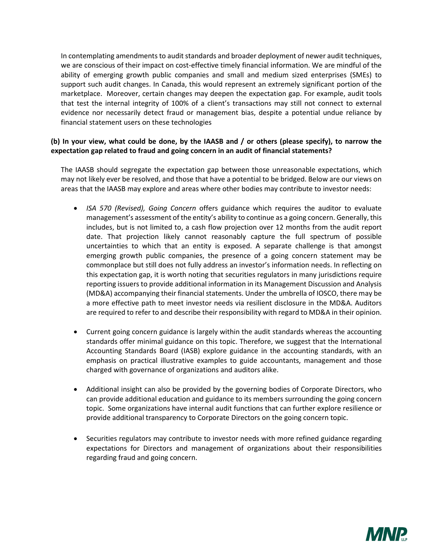In contemplating amendments to audit standards and broader deployment of newer audit techniques, we are conscious of their impact on cost-effective timely financial information. We are mindful of the ability of emerging growth public companies and small and medium sized enterprises (SMEs) to support such audit changes. In Canada, this would represent an extremely significant portion of the marketplace. Moreover, certain changes may deepen the expectation gap. For example, audit tools that test the internal integrity of 100% of a client's transactions may still not connect to external evidence nor necessarily detect fraud or management bias, despite a potential undue reliance by financial statement users on these technologies

## **(b) In your view, what could be done, by the IAASB and / or others (please specify), to narrow the expectation gap related to fraud and going concern in an audit of financial statements?**

The IAASB should segregate the expectation gap between those unreasonable expectations, which may not likely ever be resolved, and those that have a potential to be bridged. Below are our views on areas that the IAASB may explore and areas where other bodies may contribute to investor needs:

- *ISA 570 (Revised), Going Concern* offers guidance which requires the auditor to evaluate management's assessment of the entity's ability to continue as a going concern. Generally, this includes, but is not limited to, a cash flow projection over 12 months from the audit report date. That projection likely cannot reasonably capture the full spectrum of possible uncertainties to which that an entity is exposed. A separate challenge is that amongst emerging growth public companies, the presence of a going concern statement may be commonplace but still does not fully address an investor's information needs. In reflecting on this expectation gap, it is worth noting that securities regulators in many jurisdictions require reporting issuers to provide additional information in its Management Discussion and Analysis (MD&A) accompanying their financial statements. Under the umbrella of IOSCO, there may be a more effective path to meet investor needs via resilient disclosure in the MD&A. Auditors are required to refer to and describe their responsibility with regard to MD&A in their opinion.
- Current going concern guidance is largely within the audit standards whereas the accounting standards offer minimal guidance on this topic. Therefore, we suggest that the International Accounting Standards Board (IASB) explore guidance in the accounting standards, with an emphasis on practical illustrative examples to guide accountants, management and those charged with governance of organizations and auditors alike.
- Additional insight can also be provided by the governing bodies of Corporate Directors, who can provide additional education and guidance to its members surrounding the going concern topic. Some organizations have internal audit functions that can further explore resilience or provide additional transparency to Corporate Directors on the going concern topic.
- Securities regulators may contribute to investor needs with more refined guidance regarding expectations for Directors and management of organizations about their responsibilities regarding fraud and going concern.

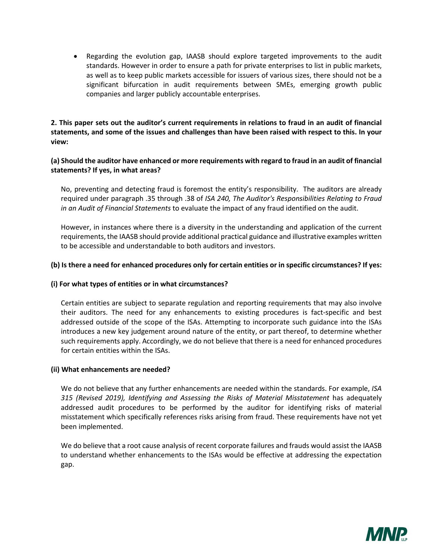Regarding the evolution gap, IAASB should explore targeted improvements to the audit standards. However in order to ensure a path for private enterprises to list in public markets, as well as to keep public markets accessible for issuers of various sizes, there should not be a significant bifurcation in audit requirements between SMEs, emerging growth public companies and larger publicly accountable enterprises.

**2. This paper sets out the auditor's current requirements in relations to fraud in an audit of financial statements, and some of the issues and challenges than have been raised with respect to this. In your view:** 

## **(a) Should the auditor have enhanced or more requirements with regard to fraud in an audit of financial statements? If yes, in what areas?**

No, preventing and detecting fraud is foremost the entity's responsibility. The auditors are already required under paragraph .35 through .38 of *ISA 240, The Auditor's Responsibilities Relating to Fraud in an Audit of Financial Statements* to evaluate the impact of any fraud identified on the audit.

However, in instances where there is a diversity in the understanding and application of the current requirements, the IAASB should provide additional practical guidance and illustrative examples written to be accessible and understandable to both auditors and investors.

## **(b) Is there a need for enhanced procedures only for certain entities or in specific circumstances? If yes:**

#### **(i) For what types of entities or in what circumstances?**

Certain entities are subject to separate regulation and reporting requirements that may also involve their auditors. The need for any enhancements to existing procedures is fact-specific and best addressed outside of the scope of the ISAs. Attempting to incorporate such guidance into the ISAs introduces a new key judgement around nature of the entity, or part thereof, to determine whether such requirements apply. Accordingly, we do not believe that there is a need for enhanced procedures for certain entities within the ISAs.

#### **(ii) What enhancements are needed?**

We do not believe that any further enhancements are needed within the standards. For example, *ISA 315 (Revised 2019), Identifying and Assessing the Risks of Material Misstatement* has adequately addressed audit procedures to be performed by the auditor for identifying risks of material misstatement which specifically references risks arising from fraud. These requirements have not yet been implemented.

We do believe that a root cause analysis of recent corporate failures and frauds would assist the IAASB to understand whether enhancements to the ISAs would be effective at addressing the expectation gap.

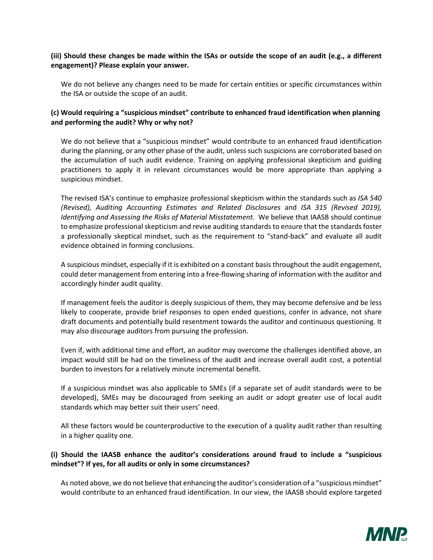## **(iii) Should these changes be made within the ISAs or outside the scope of an audit (e.g., a different engagement)? Please explain your answer.**

We do not believe any changes need to be made for certain entities or specific circumstances within the ISA or outside the scope of an audit.

## **(c) Would requiring a "suspicious mindset" contribute to enhanced fraud identification when planning and performing the audit? Why or why not?**

We do not believe that a "suspicious mindset" would contribute to an enhanced fraud identification during the planning, or any other phase of the audit, unless such suspicions are corroborated based on the accumulation of such audit evidence. Training on applying professional skepticism and guiding practitioners to apply it in relevant circumstances would be more appropriate than applying a suspicious mindset.

The revised ISA's continue to emphasize professional skepticism within the standards such as *ISA 540 (Revised), Auditing Accounting Estimates and Related Disclosures* and *ISA 315 (Revised 2019), Identifying and Assessing the Risks of Material Misstatement.* We believe that IAASB should continue to emphasize professional skepticism and revise auditing standards to ensure that the standards foster a professionally skeptical mindset, such as the requirement to "stand-back" and evaluate all audit evidence obtained in forming conclusions.

A suspicious mindset, especially if it is exhibited on a constant basis throughout the audit engagement, could deter management from entering into a free-flowing sharing of information with the auditor and accordingly hinder audit quality.

If management feels the auditor is deeply suspicious of them, they may become defensive and be less likely to cooperate, provide brief responses to open ended questions, confer in advance, not share draft documents and potentially build resentment towards the auditor and continuous questioning. It may also discourage auditors from pursuing the profession.

Even if, with additional time and effort, an auditor may overcome the challenges identified above, an impact would still be had on the timeliness of the audit and increase overall audit cost, a potential burden to investors for a relatively minute incremental benefit.

If a suspicious mindset was also applicable to SMEs (if a separate set of audit standards were to be developed), SMEs may be discouraged from seeking an audit or adopt greater use of local audit standards which may better suit their users' need.

All these factors would be counterproductive to the execution of a quality audit rather than resulting in a higher quality one.

## **(i) Should the IAASB enhance the auditor's considerations around fraud to include a "suspicious mindset"? If yes, for all audits or only in some circumstances?**

As noted above, we do not believe that enhancing the auditor's consideration of a "suspicious mindset" would contribute to an enhanced fraud identification. In our view, the IAASB should explore targeted

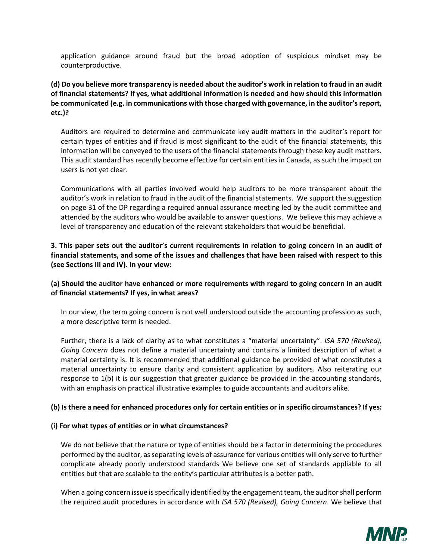application guidance around fraud but the broad adoption of suspicious mindset may be counterproductive.

**(d) Do you believe more transparency is needed about the auditor's work in relation to fraud in an audit of financial statements? If yes, what additional information is needed and how should this information be communicated (e.g. in communications with those charged with governance, in the auditor's report, etc.)?** 

Auditors are required to determine and communicate key audit matters in the auditor's report for certain types of entities and if fraud is most significant to the audit of the financial statements, this information will be conveyed to the users of the financial statements through these key audit matters. This audit standard has recently become effective for certain entities in Canada, as such the impact on users is not yet clear.

Communications with all parties involved would help auditors to be more transparent about the auditor's work in relation to fraud in the audit of the financial statements. We support the suggestion on page 31 of the DP regarding a required annual assurance meeting led by the audit committee and attended by the auditors who would be available to answer questions. We believe this may achieve a level of transparency and education of the relevant stakeholders that would be beneficial.

**3. This paper sets out the auditor's current requirements in relation to going concern in an audit of financial statements, and some of the issues and challenges that have been raised with respect to this (see Sections III and IV). In your view:** 

## **(a) Should the auditor have enhanced or more requirements with regard to going concern in an audit of financial statements? If yes, in what areas?**

In our view, the term going concern is not well understood outside the accounting profession as such, a more descriptive term is needed.

Further, there is a lack of clarity as to what constitutes a "material uncertainty". *ISA 570 (Revised), Going Concern* does not define a material uncertainty and contains a limited description of what a material certainty is. It is recommended that additional guidance be provided of what constitutes a material uncertainty to ensure clarity and consistent application by auditors. Also reiterating our response to 1(b) it is our suggestion that greater guidance be provided in the accounting standards, with an emphasis on practical illustrative examples to guide accountants and auditors alike.

# **(b) Is there a need for enhanced procedures only for certain entities or in specific circumstances? If yes:**

#### **(i) For what types of entities or in what circumstances?**

We do not believe that the nature or type of entities should be a factor in determining the procedures performed by the auditor, as separating levels of assurance for various entities will only serve to further complicate already poorly understood standards We believe one set of standards appliable to all entities but that are scalable to the entity's particular attributes is a better path.

When a going concern issue is specifically identified by the engagement team, the auditor shall perform the required audit procedures in accordance with *ISA 570 (Revised), Going Concern*. We believe that

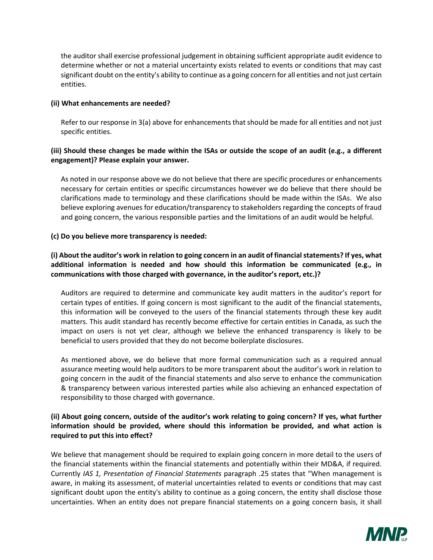the auditor shall exercise professional judgement in obtaining sufficient appropriate audit evidence to determine whether or not a material uncertainty exists related to events or conditions that may cast significant doubt on the entity's ability to continue as a going concern for all entities and not just certain entities.

#### **(ii) What enhancements are needed?**

Refer to our response in 3(a) above for enhancements that should be made for all entities and not just specific entities.

## **(iii) Should these changes be made within the ISAs or outside the scope of an audit (e.g., a different engagement)? Please explain your answer.**

As noted in our response above we do not believe that there are specific procedures or enhancements necessary for certain entities or specific circumstances however we do believe that there should be clarifications made to terminology and these clarifications should be made within the ISAs. We also believe exploring avenues for education/transparency to stakeholders regarding the concepts of fraud and going concern, the various responsible parties and the limitations of an audit would be helpful.

#### **(c) Do you believe more transparency is needed:**

# **(i) About the auditor's work in relation to going concern in an audit of financial statements? If yes, what additional information is needed and how should this information be communicated (e.g., in communications with those charged with governance, in the auditor's report, etc.)?**

Auditors are required to determine and communicate key audit matters in the auditor's report for certain types of entities. If going concern is most significant to the audit of the financial statements, this information will be conveyed to the users of the financial statements through these key audit matters. This audit standard has recently become effective for certain entities in Canada, as such the impact on users is not yet clear, although we believe the enhanced transparency is likely to be beneficial to users provided that they do not become boilerplate disclosures.

As mentioned above, we do believe that more formal communication such as a required annual assurance meeting would help auditors to be more transparent about the auditor's work in relation to going concern in the audit of the financial statements and also serve to enhance the communication & transparency between various interested parties while also achieving an enhanced expectation of responsibility to those charged with governance.

# **(ii) About going concern, outside of the auditor's work relating to going concern? If yes, what further information should be provided, where should this information be provided, and what action is required to put this into effect?**

We believe that management should be required to explain going concern in more detail to the users of the financial statements within the financial statements and potentially within their MD&A, if required. Currently *IAS 1, Presentation of Financial Statements* paragraph .25 states that "When management is aware, in making its assessment, of material uncertainties related to events or conditions that may cast significant doubt upon the entity's ability to continue as a going concern, the entity shall disclose those uncertainties. When an entity does not prepare financial statements on a going concern basis, it shall

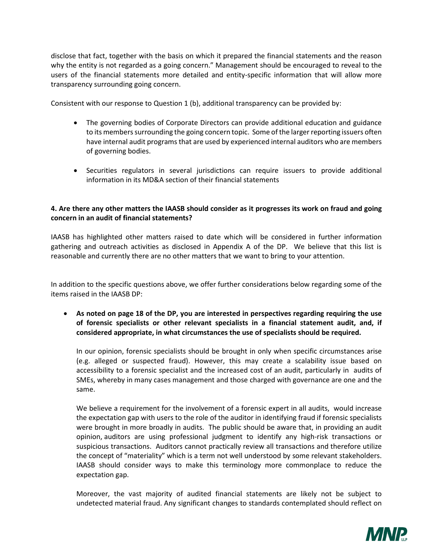disclose that fact, together with the basis on which it prepared the financial statements and the reason why the entity is not regarded as a going concern." Management should be encouraged to reveal to the users of the financial statements more detailed and entity-specific information that will allow more transparency surrounding going concern.

Consistent with our response to Question 1 (b), additional transparency can be provided by:

- The governing bodies of Corporate Directors can provide additional education and guidance to its members surrounding the going concern topic. Some of the larger reporting issuers often have internal audit programs that are used by experienced internal auditors who are members of governing bodies.
- Securities regulators in several jurisdictions can require issuers to provide additional information in its MD&A section of their financial statements

# **4. Are there any other matters the IAASB should consider as it progresses its work on fraud and going concern in an audit of financial statements?**

IAASB has highlighted other matters raised to date which will be considered in further information gathering and outreach activities as disclosed in Appendix A of the DP. We believe that this list is reasonable and currently there are no other matters that we want to bring to your attention.

In addition to the specific questions above, we offer further considerations below regarding some of the items raised in the IAASB DP:

 **As noted on page 18 of the DP, you are interested in perspectives regarding requiring the use of forensic specialists or other relevant specialists in a financial statement audit, and, if considered appropriate, in what circumstances the use of specialists should be required.** 

In our opinion, forensic specialists should be brought in only when specific circumstances arise (e.g. alleged or suspected fraud). However, this may create a scalability issue based on accessibility to a forensic specialist and the increased cost of an audit, particularly in audits of SMEs, whereby in many cases management and those charged with governance are one and the same.

We believe a requirement for the involvement of a forensic expert in all audits, would increase the expectation gap with users to the role of the auditor in identifying fraud if forensic specialists were brought in more broadly in audits. The public should be aware that, in providing an audit opinion, auditors are using professional judgment to identify any high-risk transactions or suspicious transactions. Auditors cannot practically review all transactions and therefore utilize the concept of "materiality" which is a term not well understood by some relevant stakeholders. IAASB should consider ways to make this terminology more commonplace to reduce the expectation gap.

Moreover, the vast majority of audited financial statements are likely not be subject to undetected material fraud. Any significant changes to standards contemplated should reflect on

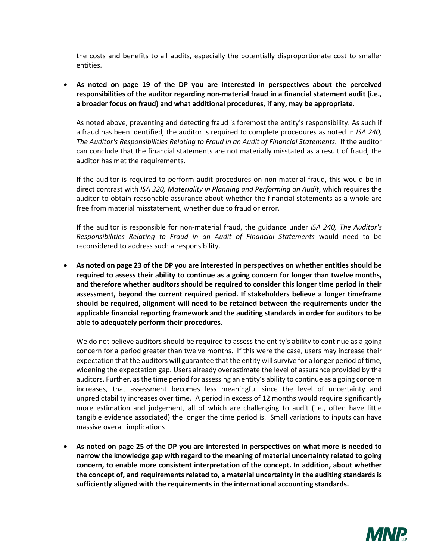the costs and benefits to all audits, especially the potentially disproportionate cost to smaller entities.

 **As noted on page 19 of the DP you are interested in perspectives about the perceived responsibilities of the auditor regarding non-material fraud in a financial statement audit (i.e., a broader focus on fraud) and what additional procedures, if any, may be appropriate.** 

As noted above, preventing and detecting fraud is foremost the entity's responsibility. As such if a fraud has been identified, the auditor is required to complete procedures as noted in *ISA 240, The Auditor's Responsibilities Relating to Fraud in an Audit of Financial Statements.* If the auditor can conclude that the financial statements are not materially misstated as a result of fraud, the auditor has met the requirements.

If the auditor is required to perform audit procedures on non-material fraud, this would be in direct contrast with *ISA 320, Materiality in Planning and Performing an Audit*, which requires the auditor to obtain reasonable assurance about whether the financial statements as a whole are free from material misstatement, whether due to fraud or error.

If the auditor is responsible for non-material fraud, the guidance under *ISA 240, The Auditor's Responsibilities Relating to Fraud in an Audit of Financial Statements* would need to be reconsidered to address such a responsibility.

 **As noted on page 23 of the DP you are interested in perspectives on whether entities should be required to assess their ability to continue as a going concern for longer than twelve months, and therefore whether auditors should be required to consider this longer time period in their assessment, beyond the current required period. If stakeholders believe a longer timeframe should be required, alignment will need to be retained between the requirements under the applicable financial reporting framework and the auditing standards in order for auditors to be able to adequately perform their procedures.** 

We do not believe auditors should be required to assess the entity's ability to continue as a going concern for a period greater than twelve months. If this were the case, users may increase their expectation that the auditors will guarantee that the entity will survive for a longer period of time, widening the expectation gap. Users already overestimate the level of assurance provided by the auditors. Further, as the time period for assessing an entity's ability to continue as a going concern increases, that assessment becomes less meaningful since the level of uncertainty and unpredictability increases over time. A period in excess of 12 months would require significantly more estimation and judgement, all of which are challenging to audit (i.e., often have little tangible evidence associated) the longer the time period is. Small variations to inputs can have massive overall implications

 **As noted on page 25 of the DP you are interested in perspectives on what more is needed to narrow the knowledge gap with regard to the meaning of material uncertainty related to going concern, to enable more consistent interpretation of the concept. In addition, about whether the concept of, and requirements related to, a material uncertainty in the auditing standards is sufficiently aligned with the requirements in the international accounting standards.**